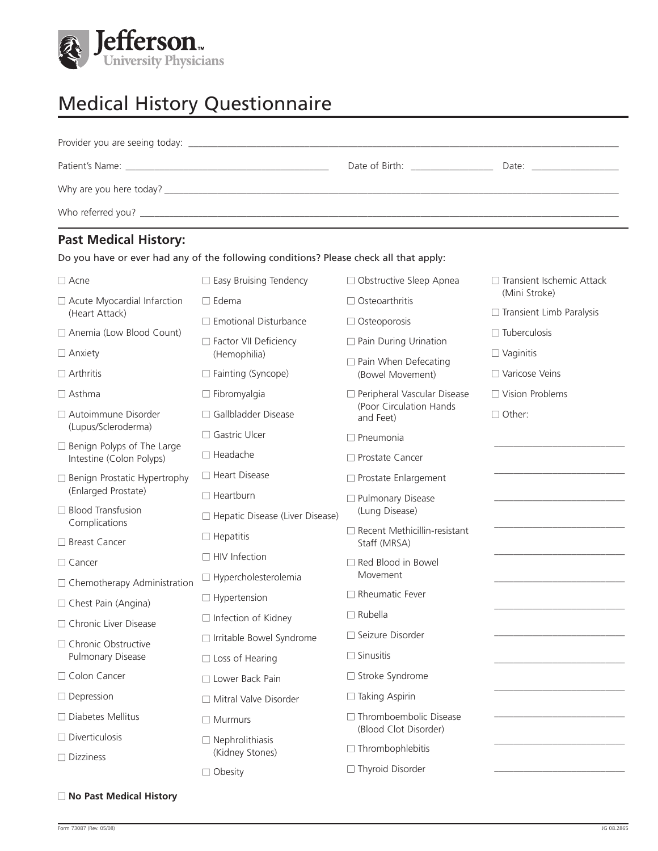

## Medical History Questionnaire

|                                         | Date of Birth: Date of Birth: | Date: the contract of the contract of the contract of the contract of the contract of the contract of the contract of the contract of the contract of the contract of the contract of the contract of the contract of the cont |
|-----------------------------------------|-------------------------------|--------------------------------------------------------------------------------------------------------------------------------------------------------------------------------------------------------------------------------|
| Why are you here today? $\qquad \qquad$ |                               |                                                                                                                                                                                                                                |
|                                         |                               |                                                                                                                                                                                                                                |

## **Past Medical History:**

|                                                               | Do you have or ever had any of the following conditions? Please check all that apply: |                                                     |                                 |
|---------------------------------------------------------------|---------------------------------------------------------------------------------------|-----------------------------------------------------|---------------------------------|
| $\Box$ Acne                                                   | $\Box$ Easy Bruising Tendency                                                         | □ Obstructive Sleep Apnea                           | □ Transient Ischemic Attack     |
| $\Box$ Acute Myocardial Infarction                            | $\Box$ Edema                                                                          | $\Box$ Osteoarthritis                               | (Mini Stroke)                   |
| (Heart Attack)                                                | $\Box$ Emotional Disturbance                                                          | $\Box$ Osteoporosis                                 | $\Box$ Transient Limb Paralysis |
| □ Anemia (Low Blood Count)                                    | □ Factor VII Deficiency                                                               | □ Pain During Urination                             | $\Box$ Tuberculosis             |
| $\Box$ Anxiety                                                | (Hemophilia)                                                                          | $\Box$ Pain When Defecating                         | $\Box$ Vaginitis                |
| $\Box$ Arthritis                                              | □ Fainting (Syncope)                                                                  | (Bowel Movement)                                    | □ Varicose Veins                |
| $\Box$ Asthma                                                 | $\Box$ Fibromyalgia                                                                   | Peripheral Vascular Disease                         | $\Box$ Vision Problems          |
| $\Box$ Autoimmune Disorder                                    | □ Gallbladder Disease                                                                 | (Poor Circulation Hands<br>and Feet)                | $\Box$ Other:                   |
| (Lupus/Scleroderma)                                           | □ Gastric Ulcer                                                                       | $\Box$ Pneumonia                                    |                                 |
| $\Box$ Benign Polyps of The Large<br>Intestine (Colon Polyps) | $\Box$ Headache                                                                       | $\Box$ Prostate Cancer                              |                                 |
| □ Benign Prostatic Hypertrophy                                | $\Box$ Heart Disease                                                                  | □ Prostate Enlargement                              |                                 |
| (Enlarged Prostate)                                           | $\Box$ Heartburn                                                                      | □ Pulmonary Disease                                 |                                 |
| □ Blood Transfusion<br>Complications                          | □ Hepatic Disease (Liver Disease)                                                     | (Lung Disease)                                      |                                 |
| □ Breast Cancer                                               | $\Box$ Hepatitis                                                                      | $\Box$ Recent Methicillin-resistant<br>Staff (MRSA) |                                 |
| $\Box$ Cancer                                                 | $\Box$ HIV Infection                                                                  | Red Blood in Bowel                                  |                                 |
| □ Chemotherapy Administration                                 | □ Hypercholesterolemia                                                                | Movement                                            |                                 |
| □ Chest Pain (Angina)                                         | $\Box$ Hypertension                                                                   | $\Box$ Rheumatic Fever                              |                                 |
| $\Box$ Chronic Liver Disease                                  | $\Box$ Infection of Kidney                                                            | $\Box$ Rubella                                      |                                 |
| □ Chronic Obstructive<br>Pulmonary Disease                    | □ Irritable Bowel Syndrome                                                            | □ Seizure Disorder                                  |                                 |
|                                                               | $\Box$ Loss of Hearing                                                                | $\Box$ Sinusitis                                    |                                 |
| □ Colon Cancer                                                | □ Lower Back Pain                                                                     | □ Stroke Syndrome                                   |                                 |
| $\Box$ Depression                                             | $\Box$ Mitral Valve Disorder                                                          | $\Box$ Taking Aspirin                               |                                 |
| $\Box$ Diabetes Mellitus                                      | $\Box$ Murmurs                                                                        | □ Thromboembolic Disease<br>(Blood Clot Disorder)   |                                 |
| $\Box$ Diverticulosis                                         | $\Box$ Nephrolithiasis                                                                | $\Box$ Thrombophlebitis                             |                                 |
| $\Box$ Dizziness                                              | (Kidney Stones)                                                                       |                                                     |                                 |
|                                                               | $\Box$ Obesity                                                                        | □ Thyroid Disorder                                  |                                 |

## Form 73087 (Rev. 05/08) JG 08.2865

□ **No Past Medical History**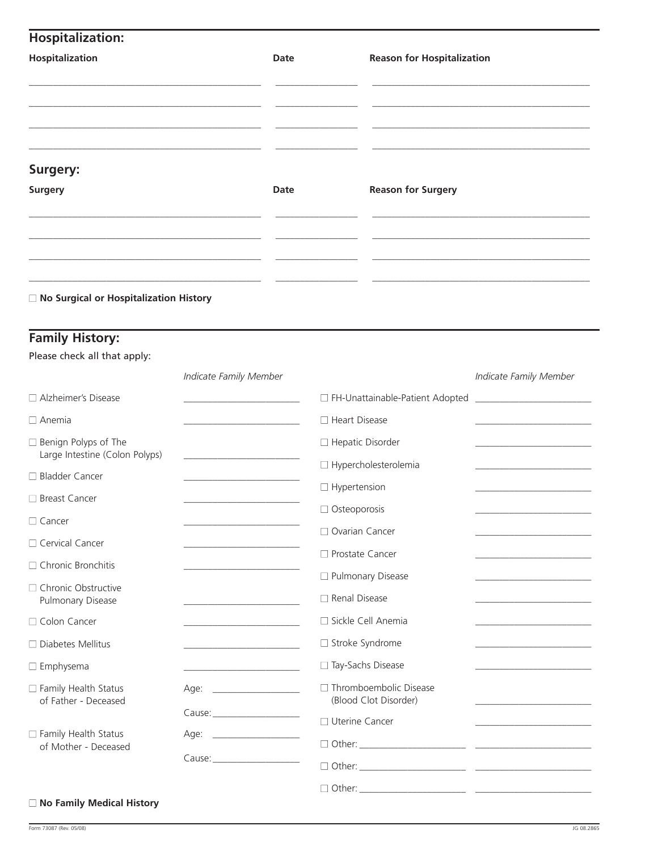| <b>Hospitalization:</b>                                |                                                             |      |                             |                                                   |                                                             |  |  |
|--------------------------------------------------------|-------------------------------------------------------------|------|-----------------------------|---------------------------------------------------|-------------------------------------------------------------|--|--|
| Hospitalization                                        |                                                             | Date |                             | <b>Reason for Hospitalization</b>                 |                                                             |  |  |
|                                                        |                                                             |      |                             |                                                   |                                                             |  |  |
| Surgery:                                               |                                                             |      |                             |                                                   |                                                             |  |  |
| <b>Surgery</b>                                         |                                                             | Date |                             | <b>Reason for Surgery</b>                         |                                                             |  |  |
|                                                        |                                                             |      |                             |                                                   |                                                             |  |  |
| □ No Surgical or Hospitalization History               |                                                             |      |                             |                                                   |                                                             |  |  |
| <b>Family History:</b><br>Please check all that apply: |                                                             |      |                             |                                                   |                                                             |  |  |
|                                                        | Indicate Family Member                                      |      |                             |                                                   | Indicate Family Member                                      |  |  |
| □ Alzheimer's Disease                                  |                                                             |      |                             | □ FH-Unattainable-Patient Adopted                 |                                                             |  |  |
| $\Box$ Anemia                                          |                                                             |      | □ Heart Disease             |                                                   |                                                             |  |  |
| □ Benign Polyps of The                                 |                                                             |      | $\Box$ Hepatic Disorder     |                                                   |                                                             |  |  |
| Large Intestine (Colon Polyps)                         |                                                             |      | $\Box$ Hypercholesterolemia |                                                   |                                                             |  |  |
| □ Bladder Cancer                                       |                                                             |      | $\Box$ Hypertension         |                                                   |                                                             |  |  |
| □ Breast Cancer                                        |                                                             |      |                             | $\Box$ Osteoporosis                               |                                                             |  |  |
| $\Box$ Cancer                                          |                                                             |      |                             | □ Ovarian Cancer                                  |                                                             |  |  |
| □ Cervical Cancer                                      |                                                             |      | □ Prostate Cancer           |                                                   |                                                             |  |  |
| □ Chronic Bronchitis                                   |                                                             |      |                             | □ Pulmonary Disease                               | the control of the control of the control of the            |  |  |
| □ Chronic Obstructive<br>Pulmonary Disease             | <u> 1980 - Johann Barbara, martxa a</u>                     |      | □ Renal Disease             |                                                   | the control of the control of the control of the control of |  |  |
| □ Colon Cancer                                         |                                                             |      |                             | □ Sickle Cell Anemia                              |                                                             |  |  |
| $\Box$ Diabetes Mellitus                               | the control of the control of the control of the            |      | □ Stroke Syndrome           |                                                   | the control of the control of the control of the control of |  |  |
| $\square$ Emphysema                                    | the control of the control of the control of the control of |      |                             | □ Tay-Sachs Disease                               |                                                             |  |  |
| □ Family Health Status<br>of Father - Deceased         |                                                             |      |                             | □ Thromboembolic Disease<br>(Blood Clot Disorder) |                                                             |  |  |
|                                                        |                                                             |      | □ Uterine Cancer            |                                                   |                                                             |  |  |
| □ Family Health Status<br>of Mother - Deceased         |                                                             |      |                             |                                                   |                                                             |  |  |
|                                                        |                                                             |      |                             |                                                   |                                                             |  |  |
|                                                        |                                                             |      |                             |                                                   |                                                             |  |  |

## ■ **No Family Medical History**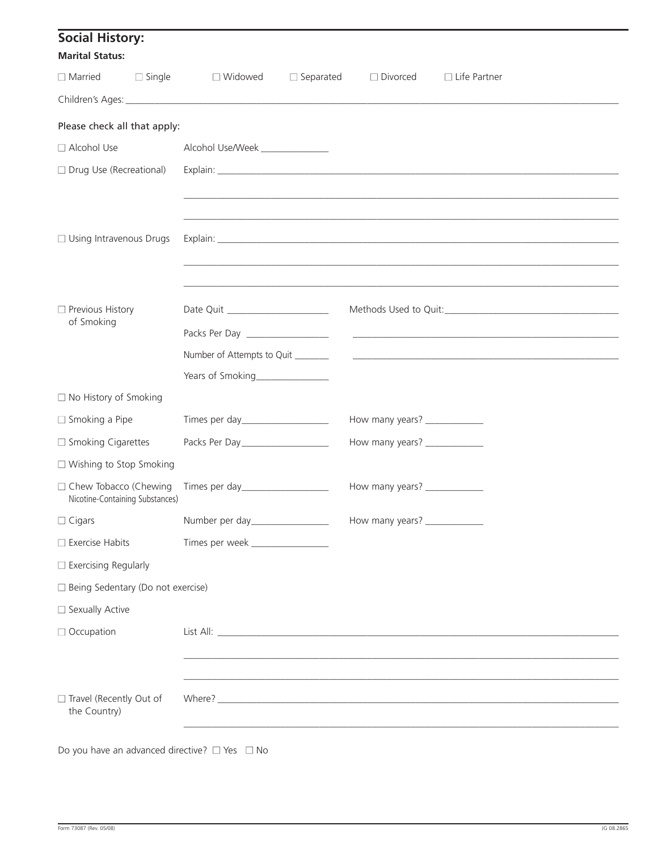| <b>Social History:</b><br><b>Marital Status:</b> |                                 |                                    |                  |                                |                                                                                  |
|--------------------------------------------------|---------------------------------|------------------------------------|------------------|--------------------------------|----------------------------------------------------------------------------------|
| $\Box$ Married                                   | $\Box$ Single                   | □ Widowed                          | $\Box$ Separated | $\Box$ Divorced                | $\Box$ Life Partner                                                              |
|                                                  |                                 |                                    |                  |                                |                                                                                  |
| Please check all that apply:                     |                                 |                                    |                  |                                |                                                                                  |
| □ Alcohol Use                                    |                                 | Alcohol Use/Week _______________   |                  |                                |                                                                                  |
| □ Drug Use (Recreational)                        |                                 |                                    |                  |                                |                                                                                  |
|                                                  |                                 |                                    |                  |                                |                                                                                  |
|                                                  |                                 |                                    |                  |                                |                                                                                  |
| $\Box$ Using Intravenous Drugs                   |                                 |                                    |                  |                                |                                                                                  |
|                                                  |                                 |                                    |                  |                                |                                                                                  |
|                                                  |                                 |                                    |                  |                                |                                                                                  |
| Previous History                                 |                                 | Date Quit _______________________  |                  |                                |                                                                                  |
| of Smoking                                       |                                 | Packs Per Day ___________________  |                  |                                |                                                                                  |
|                                                  |                                 | Number of Attempts to Quit         |                  |                                | <u> 1980 - Johann Barnett, fransk politik (f. 1980)</u>                          |
|                                                  |                                 | Years of Smoking________________   |                  |                                |                                                                                  |
| $\Box$ No History of Smoking                     |                                 |                                    |                  |                                |                                                                                  |
| $\Box$ Smoking a Pipe                            |                                 |                                    |                  | How many years? ______________ |                                                                                  |
| $\Box$ Smoking Cigarettes                        |                                 | Packs Per Day ___________________  |                  | How many years? ______________ |                                                                                  |
| $\Box$ Wishing to Stop Smoking                   |                                 |                                    |                  |                                |                                                                                  |
| □ Chew Tobacco (Chewing                          | Nicotine-Containing Substances) | Times per day____________________  |                  | How many years? ______________ |                                                                                  |
| $\Box$ Cigars                                    |                                 | Number per day__________________   |                  | How many years? _____________  |                                                                                  |
| $\square$ Exercise Habits                        |                                 | Times per week ___________________ |                  |                                |                                                                                  |
| $\Box$ Exercising Regularly                      |                                 |                                    |                  |                                |                                                                                  |
| □ Being Sedentary (Do not exercise)              |                                 |                                    |                  |                                |                                                                                  |
| □ Sexually Active                                |                                 |                                    |                  |                                |                                                                                  |
| □ Occupation                                     |                                 |                                    |                  |                                |                                                                                  |
|                                                  |                                 |                                    |                  |                                |                                                                                  |
|                                                  |                                 |                                    |                  |                                |                                                                                  |
| □ Travel (Recently Out of<br>the Country)        |                                 |                                    |                  |                                |                                                                                  |
|                                                  |                                 |                                    |                  |                                | ,我们也不能在这里的时候,我们也不能在这里的时候,我们也不能会在这里的时候,我们也不能会在这里的时候,我们也不能会在这里的时候,我们也不能会在这里的时候,我们也 |

Do you have an advanced directive?  $\Box$  Yes  $\Box$  No